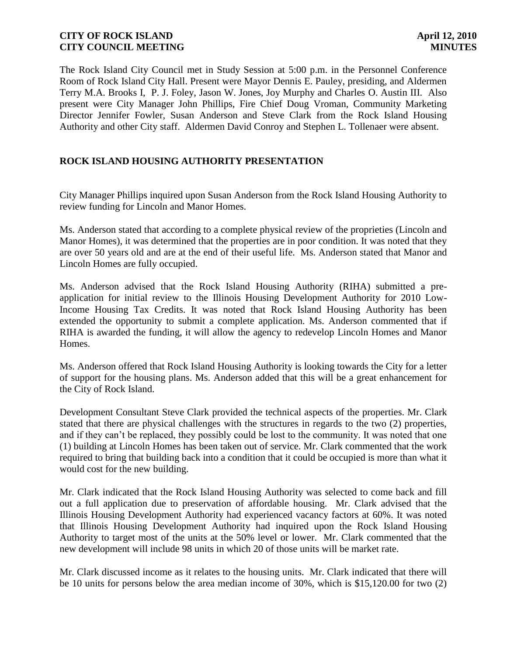The Rock Island City Council met in Study Session at 5:00 p.m. in the Personnel Conference Room of Rock Island City Hall. Present were Mayor Dennis E. Pauley, presiding, and Aldermen Terry M.A. Brooks I, P. J. Foley, Jason W. Jones, Joy Murphy and Charles O. Austin III. Also present were City Manager John Phillips, Fire Chief Doug Vroman, Community Marketing Director Jennifer Fowler, Susan Anderson and Steve Clark from the Rock Island Housing Authority and other City staff. Aldermen David Conroy and Stephen L. Tollenaer were absent.

# **ROCK ISLAND HOUSING AUTHORITY PRESENTATION**

City Manager Phillips inquired upon Susan Anderson from the Rock Island Housing Authority to review funding for Lincoln and Manor Homes.

Ms. Anderson stated that according to a complete physical review of the proprieties (Lincoln and Manor Homes), it was determined that the properties are in poor condition. It was noted that they are over 50 years old and are at the end of their useful life. Ms. Anderson stated that Manor and Lincoln Homes are fully occupied.

Ms. Anderson advised that the Rock Island Housing Authority (RIHA) submitted a preapplication for initial review to the Illinois Housing Development Authority for 2010 Low-Income Housing Tax Credits. It was noted that Rock Island Housing Authority has been extended the opportunity to submit a complete application. Ms. Anderson commented that if RIHA is awarded the funding, it will allow the agency to redevelop Lincoln Homes and Manor Homes.

Ms. Anderson offered that Rock Island Housing Authority is looking towards the City for a letter of support for the housing plans. Ms. Anderson added that this will be a great enhancement for the City of Rock Island.

Development Consultant Steve Clark provided the technical aspects of the properties. Mr. Clark stated that there are physical challenges with the structures in regards to the two (2) properties, and if they can't be replaced, they possibly could be lost to the community. It was noted that one (1) building at Lincoln Homes has been taken out of service. Mr. Clark commented that the work required to bring that building back into a condition that it could be occupied is more than what it would cost for the new building.

Mr. Clark indicated that the Rock Island Housing Authority was selected to come back and fill out a full application due to preservation of affordable housing. Mr. Clark advised that the Illinois Housing Development Authority had experienced vacancy factors at 60%. It was noted that Illinois Housing Development Authority had inquired upon the Rock Island Housing Authority to target most of the units at the 50% level or lower. Mr. Clark commented that the new development will include 98 units in which 20 of those units will be market rate.

Mr. Clark discussed income as it relates to the housing units. Mr. Clark indicated that there will be 10 units for persons below the area median income of 30%, which is \$15,120.00 for two (2)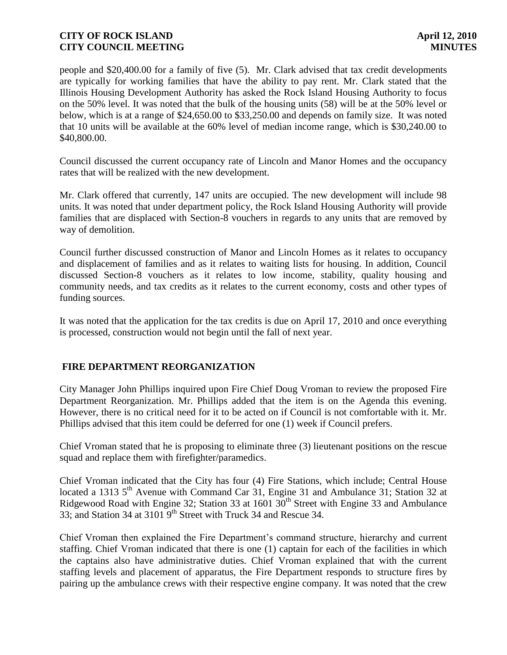people and \$20,400.00 for a family of five (5). Mr. Clark advised that tax credit developments are typically for working families that have the ability to pay rent. Mr. Clark stated that the Illinois Housing Development Authority has asked the Rock Island Housing Authority to focus on the 50% level. It was noted that the bulk of the housing units (58) will be at the 50% level or below, which is at a range of \$24,650.00 to \$33,250.00 and depends on family size. It was noted that 10 units will be available at the 60% level of median income range, which is \$30,240.00 to \$40,800.00.

Council discussed the current occupancy rate of Lincoln and Manor Homes and the occupancy rates that will be realized with the new development.

Mr. Clark offered that currently, 147 units are occupied. The new development will include 98 units. It was noted that under department policy, the Rock Island Housing Authority will provide families that are displaced with Section-8 vouchers in regards to any units that are removed by way of demolition.

Council further discussed construction of Manor and Lincoln Homes as it relates to occupancy and displacement of families and as it relates to waiting lists for housing. In addition, Council discussed Section-8 vouchers as it relates to low income, stability, quality housing and community needs, and tax credits as it relates to the current economy, costs and other types of funding sources.

It was noted that the application for the tax credits is due on April 17, 2010 and once everything is processed, construction would not begin until the fall of next year.

# **FIRE DEPARTMENT REORGANIZATION**

City Manager John Phillips inquired upon Fire Chief Doug Vroman to review the proposed Fire Department Reorganization. Mr. Phillips added that the item is on the Agenda this evening. However, there is no critical need for it to be acted on if Council is not comfortable with it. Mr. Phillips advised that this item could be deferred for one (1) week if Council prefers.

Chief Vroman stated that he is proposing to eliminate three (3) lieutenant positions on the rescue squad and replace them with firefighter/paramedics.

Chief Vroman indicated that the City has four (4) Fire Stations, which include; Central House located a 1313 5<sup>th</sup> Avenue with Command Car 31, Engine 31 and Ambulance 31; Station 32 at Ridgewood Road with Engine 32; Station 33 at 1601  $30<sup>th</sup>$  Street with Engine 33 and Ambulance 33; and Station 34 at 3101 9<sup>th</sup> Street with Truck 34 and Rescue 34.

Chief Vroman then explained the Fire Department's command structure, hierarchy and current staffing. Chief Vroman indicated that there is one (1) captain for each of the facilities in which the captains also have administrative duties. Chief Vroman explained that with the current staffing levels and placement of apparatus, the Fire Department responds to structure fires by pairing up the ambulance crews with their respective engine company. It was noted that the crew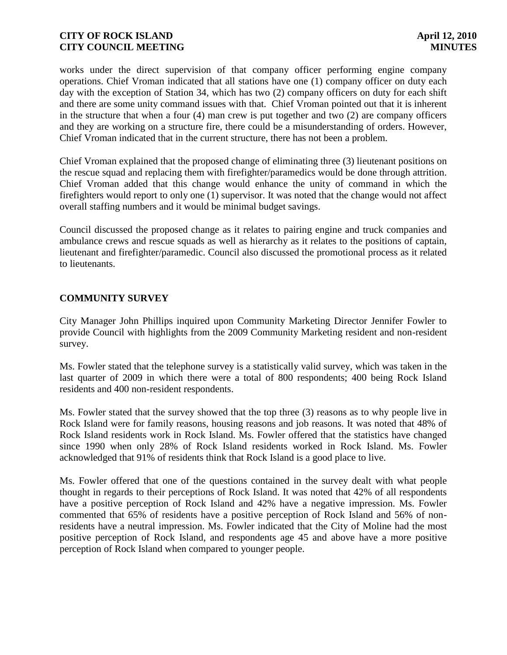works under the direct supervision of that company officer performing engine company operations. Chief Vroman indicated that all stations have one (1) company officer on duty each day with the exception of Station 34, which has two (2) company officers on duty for each shift and there are some unity command issues with that. Chief Vroman pointed out that it is inherent in the structure that when a four (4) man crew is put together and two (2) are company officers and they are working on a structure fire, there could be a misunderstanding of orders. However, Chief Vroman indicated that in the current structure, there has not been a problem.

Chief Vroman explained that the proposed change of eliminating three (3) lieutenant positions on the rescue squad and replacing them with firefighter/paramedics would be done through attrition. Chief Vroman added that this change would enhance the unity of command in which the firefighters would report to only one (1) supervisor. It was noted that the change would not affect overall staffing numbers and it would be minimal budget savings.

Council discussed the proposed change as it relates to pairing engine and truck companies and ambulance crews and rescue squads as well as hierarchy as it relates to the positions of captain, lieutenant and firefighter/paramedic. Council also discussed the promotional process as it related to lieutenants.

# **COMMUNITY SURVEY**

City Manager John Phillips inquired upon Community Marketing Director Jennifer Fowler to provide Council with highlights from the 2009 Community Marketing resident and non-resident survey.

Ms. Fowler stated that the telephone survey is a statistically valid survey, which was taken in the last quarter of 2009 in which there were a total of 800 respondents; 400 being Rock Island residents and 400 non-resident respondents.

Ms. Fowler stated that the survey showed that the top three (3) reasons as to why people live in Rock Island were for family reasons, housing reasons and job reasons. It was noted that 48% of Rock Island residents work in Rock Island. Ms. Fowler offered that the statistics have changed since 1990 when only 28% of Rock Island residents worked in Rock Island. Ms. Fowler acknowledged that 91% of residents think that Rock Island is a good place to live.

Ms. Fowler offered that one of the questions contained in the survey dealt with what people thought in regards to their perceptions of Rock Island. It was noted that 42% of all respondents have a positive perception of Rock Island and 42% have a negative impression. Ms. Fowler commented that 65% of residents have a positive perception of Rock Island and 56% of nonresidents have a neutral impression. Ms. Fowler indicated that the City of Moline had the most positive perception of Rock Island, and respondents age 45 and above have a more positive perception of Rock Island when compared to younger people.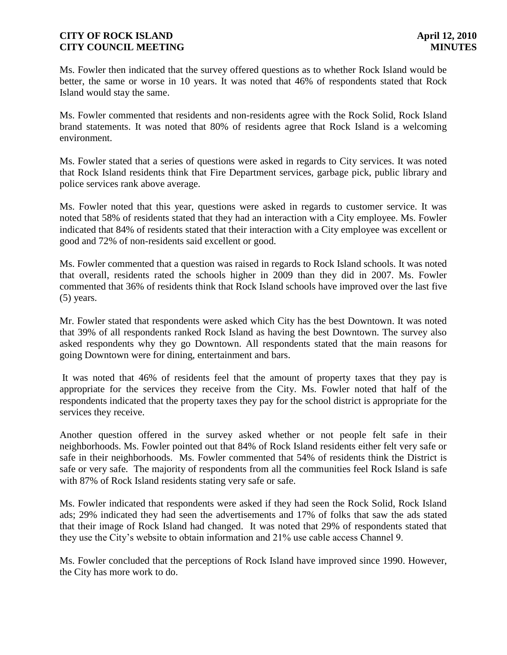Ms. Fowler then indicated that the survey offered questions as to whether Rock Island would be better, the same or worse in 10 years. It was noted that 46% of respondents stated that Rock Island would stay the same.

Ms. Fowler commented that residents and non-residents agree with the Rock Solid, Rock Island brand statements. It was noted that 80% of residents agree that Rock Island is a welcoming environment.

Ms. Fowler stated that a series of questions were asked in regards to City services. It was noted that Rock Island residents think that Fire Department services, garbage pick, public library and police services rank above average.

Ms. Fowler noted that this year, questions were asked in regards to customer service. It was noted that 58% of residents stated that they had an interaction with a City employee. Ms. Fowler indicated that 84% of residents stated that their interaction with a City employee was excellent or good and 72% of non-residents said excellent or good.

Ms. Fowler commented that a question was raised in regards to Rock Island schools. It was noted that overall, residents rated the schools higher in 2009 than they did in 2007. Ms. Fowler commented that 36% of residents think that Rock Island schools have improved over the last five (5) years.

Mr. Fowler stated that respondents were asked which City has the best Downtown. It was noted that 39% of all respondents ranked Rock Island as having the best Downtown. The survey also asked respondents why they go Downtown. All respondents stated that the main reasons for going Downtown were for dining, entertainment and bars.

It was noted that 46% of residents feel that the amount of property taxes that they pay is appropriate for the services they receive from the City. Ms. Fowler noted that half of the respondents indicated that the property taxes they pay for the school district is appropriate for the services they receive.

Another question offered in the survey asked whether or not people felt safe in their neighborhoods. Ms. Fowler pointed out that 84% of Rock Island residents either felt very safe or safe in their neighborhoods. Ms. Fowler commented that 54% of residents think the District is safe or very safe. The majority of respondents from all the communities feel Rock Island is safe with 87% of Rock Island residents stating very safe or safe.

Ms. Fowler indicated that respondents were asked if they had seen the Rock Solid, Rock Island ads; 29% indicated they had seen the advertisements and 17% of folks that saw the ads stated that their image of Rock Island had changed. It was noted that 29% of respondents stated that they use the City's website to obtain information and 21% use cable access Channel 9.

Ms. Fowler concluded that the perceptions of Rock Island have improved since 1990. However, the City has more work to do.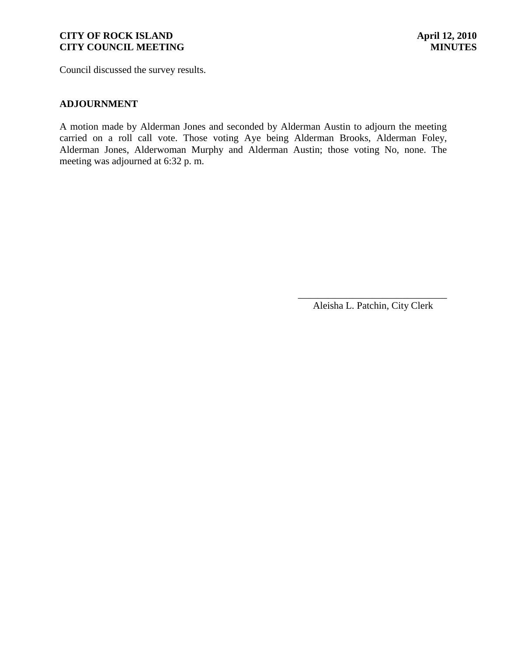Council discussed the survey results.

#### **ADJOURNMENT**

A motion made by Alderman Jones and seconded by Alderman Austin to adjourn the meeting carried on a roll call vote. Those voting Aye being Alderman Brooks, Alderman Foley, Alderman Jones, Alderwoman Murphy and Alderman Austin; those voting No, none. The meeting was adjourned at 6:32 p. m.

> \_\_\_\_\_\_\_\_\_\_\_\_\_\_\_\_\_\_\_\_\_\_\_\_\_\_\_\_\_\_ Aleisha L. Patchin, City Clerk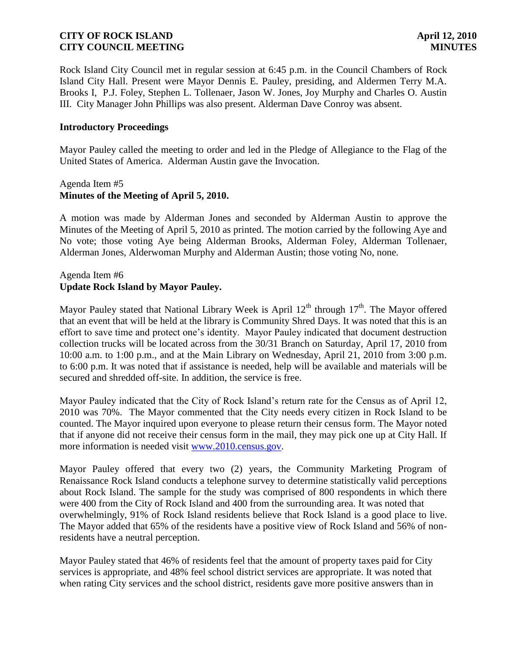Rock Island City Council met in regular session at 6:45 p.m. in the Council Chambers of Rock Island City Hall. Present were Mayor Dennis E. Pauley, presiding, and Aldermen Terry M.A. Brooks I, P.J. Foley, Stephen L. Tollenaer, Jason W. Jones, Joy Murphy and Charles O. Austin III. City Manager John Phillips was also present. Alderman Dave Conroy was absent.

#### **Introductory Proceedings**

Mayor Pauley called the meeting to order and led in the Pledge of Allegiance to the Flag of the United States of America. Alderman Austin gave the Invocation.

#### Agenda Item #5 **Minutes of the Meeting of April 5, 2010.**

A motion was made by Alderman Jones and seconded by Alderman Austin to approve the Minutes of the Meeting of April 5, 2010 as printed. The motion carried by the following Aye and No vote; those voting Aye being Alderman Brooks, Alderman Foley, Alderman Tollenaer, Alderman Jones, Alderwoman Murphy and Alderman Austin; those voting No, none.

# Agenda Item #6 **Update Rock Island by Mayor Pauley.**

Mayor Pauley stated that National Library Week is April  $12<sup>th</sup>$  through  $17<sup>th</sup>$ . The Mayor offered that an event that will be held at the library is Community Shred Days. It was noted that this is an effort to save time and protect one's identity. Mayor Pauley indicated that document destruction collection trucks will be located across from the 30/31 Branch on Saturday, April 17, 2010 from 10:00 a.m. to 1:00 p.m., and at the Main Library on Wednesday, April 21, 2010 from 3:00 p.m. to 6:00 p.m. It was noted that if assistance is needed, help will be available and materials will be secured and shredded off-site. In addition, the service is free.

Mayor Pauley indicated that the City of Rock Island's return rate for the Census as of April 12, 2010 was 70%. The Mayor commented that the City needs every citizen in Rock Island to be counted. The Mayor inquired upon everyone to please return their census form. The Mayor noted that if anyone did not receive their census form in the mail, they may pick one up at City Hall. If more information is needed visit [www.2010.census.gov.](http://www.2010.census.gov/)

Mayor Pauley offered that every two (2) years, the Community Marketing Program of Renaissance Rock Island conducts a telephone survey to determine statistically valid perceptions about Rock Island. The sample for the study was comprised of 800 respondents in which there were 400 from the City of Rock Island and 400 from the surrounding area. It was noted that overwhelmingly, 91% of Rock Island residents believe that Rock Island is a good place to live. The Mayor added that 65% of the residents have a positive view of Rock Island and 56% of nonresidents have a neutral perception.

Mayor Pauley stated that 46% of residents feel that the amount of property taxes paid for City services is appropriate, and 48% feel school district services are appropriate. It was noted that when rating City services and the school district, residents gave more positive answers than in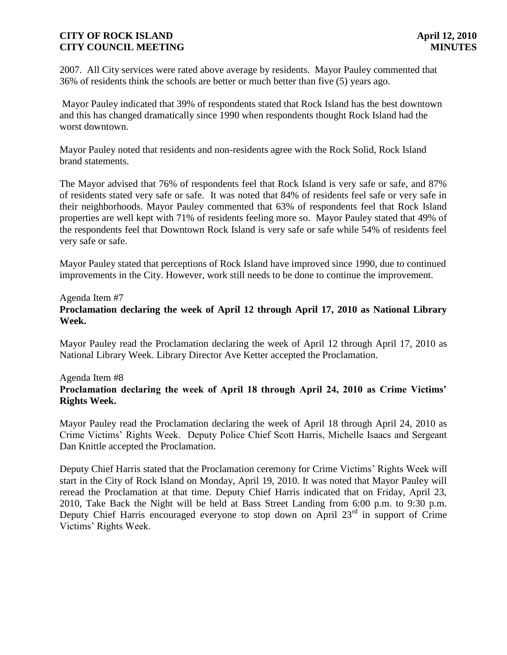2007. All City services were rated above average by residents. Mayor Pauley commented that 36% of residents think the schools are better or much better than five (5) years ago.

Mayor Pauley indicated that 39% of respondents stated that Rock Island has the best downtown and this has changed dramatically since 1990 when respondents thought Rock Island had the worst downtown.

Mayor Pauley noted that residents and non-residents agree with the Rock Solid, Rock Island brand statements.

The Mayor advised that 76% of respondents feel that Rock Island is very safe or safe, and 87% of residents stated very safe or safe. It was noted that 84% of residents feel safe or very safe in their neighborhoods. Mayor Pauley commented that 63% of respondents feel that Rock Island properties are well kept with 71% of residents feeling more so. Mayor Pauley stated that 49% of the respondents feel that Downtown Rock Island is very safe or safe while 54% of residents feel very safe or safe.

Mayor Pauley stated that perceptions of Rock Island have improved since 1990, due to continued improvements in the City. However, work still needs to be done to continue the improvement.

#### Agenda Item #7

# **Proclamation declaring the week of April 12 through April 17, 2010 as National Library Week.**

Mayor Pauley read the Proclamation declaring the week of April 12 through April 17, 2010 as National Library Week. Library Director Ave Ketter accepted the Proclamation.

# Agenda Item #8

# **Proclamation declaring the week of April 18 through April 24, 2010 as Crime Victims' Rights Week.**

Mayor Pauley read the Proclamation declaring the week of April 18 through April 24, 2010 as Crime Victims' Rights Week. Deputy Police Chief Scott Harris, Michelle Isaacs and Sergeant Dan Knittle accepted the Proclamation.

Deputy Chief Harris stated that the Proclamation ceremony for Crime Victims' Rights Week will start in the City of Rock Island on Monday, April 19, 2010. It was noted that Mayor Pauley will reread the Proclamation at that time. Deputy Chief Harris indicated that on Friday, April 23, 2010, Take Back the Night will be held at Bass Street Landing from 6:00 p.m. to 9:30 p.m. Deputy Chief Harris encouraged everyone to stop down on April  $23<sup>rd</sup>$  in support of Crime Victims' Rights Week.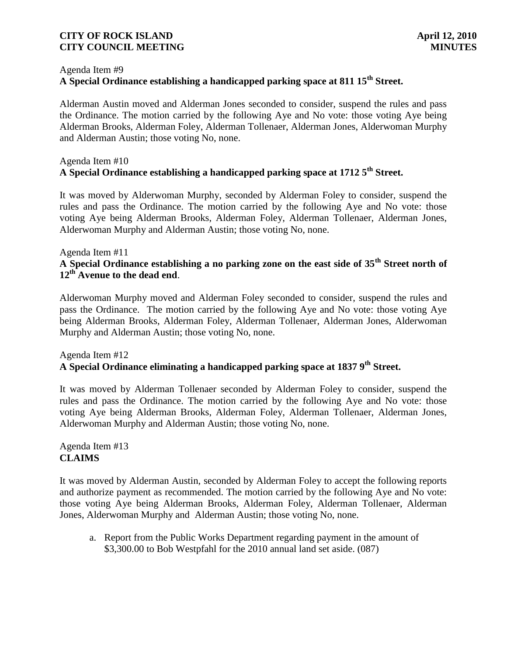#### Agenda Item #9

# **A Special Ordinance establishing a handicapped parking space at 811 15th Street.**

Alderman Austin moved and Alderman Jones seconded to consider, suspend the rules and pass the Ordinance. The motion carried by the following Aye and No vote: those voting Aye being Alderman Brooks, Alderman Foley, Alderman Tollenaer, Alderman Jones, Alderwoman Murphy and Alderman Austin; those voting No, none.

### Agenda Item #10 **A Special Ordinance establishing a handicapped parking space at 1712 5th Street.**

It was moved by Alderwoman Murphy, seconded by Alderman Foley to consider, suspend the rules and pass the Ordinance. The motion carried by the following Aye and No vote: those voting Aye being Alderman Brooks, Alderman Foley, Alderman Tollenaer, Alderman Jones, Alderwoman Murphy and Alderman Austin; those voting No, none.

#### Agenda Item #11

# **A Special Ordinance establishing a no parking zone on the east side of 35th Street north of 12th Avenue to the dead end**.

Alderwoman Murphy moved and Alderman Foley seconded to consider, suspend the rules and pass the Ordinance. The motion carried by the following Aye and No vote: those voting Aye being Alderman Brooks, Alderman Foley, Alderman Tollenaer, Alderman Jones, Alderwoman Murphy and Alderman Austin; those voting No, none.

#### Agenda Item #12 **A Special Ordinance eliminating a handicapped parking space at 1837 9th Street.**

It was moved by Alderman Tollenaer seconded by Alderman Foley to consider, suspend the rules and pass the Ordinance. The motion carried by the following Aye and No vote: those voting Aye being Alderman Brooks, Alderman Foley, Alderman Tollenaer, Alderman Jones, Alderwoman Murphy and Alderman Austin; those voting No, none.

# Agenda Item #13 **CLAIMS**

It was moved by Alderman Austin, seconded by Alderman Foley to accept the following reports and authorize payment as recommended. The motion carried by the following Aye and No vote: those voting Aye being Alderman Brooks, Alderman Foley, Alderman Tollenaer, Alderman Jones, Alderwoman Murphy and Alderman Austin; those voting No, none.

a. Report from the Public Works Department regarding payment in the amount of \$3,300.00 to Bob Westpfahl for the 2010 annual land set aside. (087)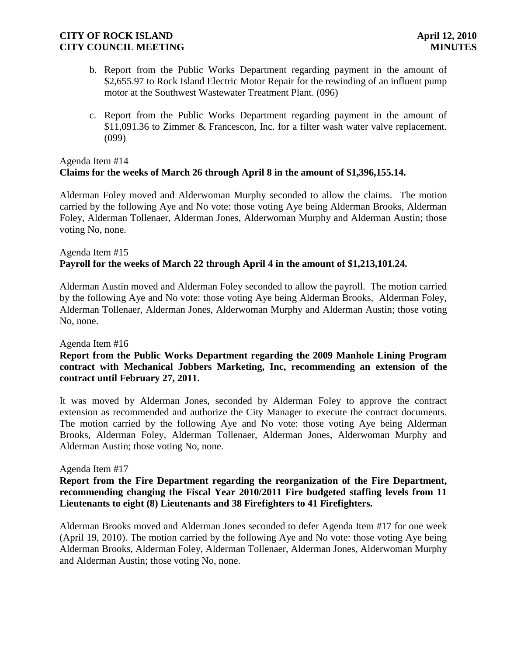- b. Report from the Public Works Department regarding payment in the amount of \$2,655.97 to Rock Island Electric Motor Repair for the rewinding of an influent pump motor at the Southwest Wastewater Treatment Plant. (096)
- c. Report from the Public Works Department regarding payment in the amount of \$11,091.36 to Zimmer & Francescon, Inc. for a filter wash water valve replacement. (099)

# Agenda Item #14 **Claims for the weeks of March 26 through April 8 in the amount of \$1,396,155.14.**

Alderman Foley moved and Alderwoman Murphy seconded to allow the claims. The motion carried by the following Aye and No vote: those voting Aye being Alderman Brooks, Alderman Foley, Alderman Tollenaer, Alderman Jones, Alderwoman Murphy and Alderman Austin; those voting No, none.

# Agenda Item #15 **Payroll for the weeks of March 22 through April 4 in the amount of \$1,213,101.24.**

Alderman Austin moved and Alderman Foley seconded to allow the payroll. The motion carried by the following Aye and No vote: those voting Aye being Alderman Brooks, Alderman Foley, Alderman Tollenaer, Alderman Jones, Alderwoman Murphy and Alderman Austin; those voting No, none.

### Agenda Item #16

# **Report from the Public Works Department regarding the 2009 Manhole Lining Program contract with Mechanical Jobbers Marketing, Inc, recommending an extension of the contract until February 27, 2011.**

It was moved by Alderman Jones, seconded by Alderman Foley to approve the contract extension as recommended and authorize the City Manager to execute the contract documents. The motion carried by the following Aye and No vote: those voting Aye being Alderman Brooks, Alderman Foley, Alderman Tollenaer, Alderman Jones, Alderwoman Murphy and Alderman Austin; those voting No, none.

### Agenda Item #17

# **Report from the Fire Department regarding the reorganization of the Fire Department, recommending changing the Fiscal Year 2010/2011 Fire budgeted staffing levels from 11 Lieutenants to eight (8) Lieutenants and 38 Firefighters to 41 Firefighters.**

Alderman Brooks moved and Alderman Jones seconded to defer Agenda Item #17 for one week (April 19, 2010). The motion carried by the following Aye and No vote: those voting Aye being Alderman Brooks, Alderman Foley, Alderman Tollenaer, Alderman Jones, Alderwoman Murphy and Alderman Austin; those voting No, none.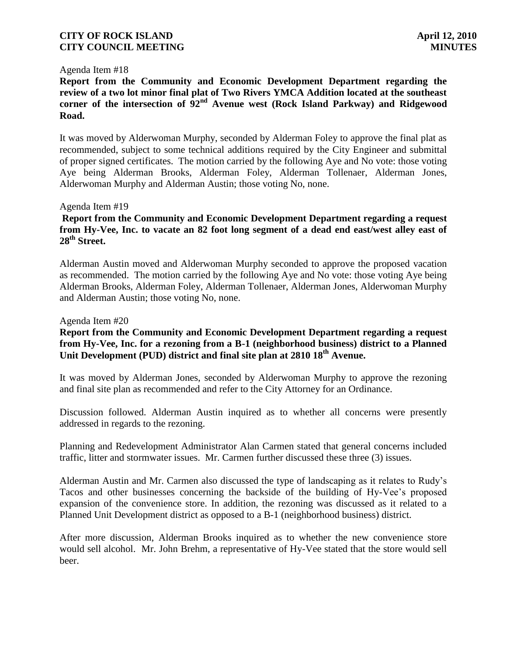#### Agenda Item #18

**Report from the Community and Economic Development Department regarding the review of a two lot minor final plat of Two Rivers YMCA Addition located at the southeast corner of the intersection of 92nd Avenue west (Rock Island Parkway) and Ridgewood Road.**

It was moved by Alderwoman Murphy, seconded by Alderman Foley to approve the final plat as recommended, subject to some technical additions required by the City Engineer and submittal of proper signed certificates. The motion carried by the following Aye and No vote: those voting Aye being Alderman Brooks, Alderman Foley, Alderman Tollenaer, Alderman Jones, Alderwoman Murphy and Alderman Austin; those voting No, none.

#### Agenda Item #19

# **Report from the Community and Economic Development Department regarding a request from Hy-Vee, Inc. to vacate an 82 foot long segment of a dead end east/west alley east of 28th Street.**

Alderman Austin moved and Alderwoman Murphy seconded to approve the proposed vacation as recommended. The motion carried by the following Aye and No vote: those voting Aye being Alderman Brooks, Alderman Foley, Alderman Tollenaer, Alderman Jones, Alderwoman Murphy and Alderman Austin; those voting No, none.

#### Agenda Item #20

# **Report from the Community and Economic Development Department regarding a request from Hy-Vee, Inc. for a rezoning from a B-1 (neighborhood business) district to a Planned Unit Development (PUD) district and final site plan at 2810 18th Avenue.**

It was moved by Alderman Jones, seconded by Alderwoman Murphy to approve the rezoning and final site plan as recommended and refer to the City Attorney for an Ordinance.

Discussion followed. Alderman Austin inquired as to whether all concerns were presently addressed in regards to the rezoning.

Planning and Redevelopment Administrator Alan Carmen stated that general concerns included traffic, litter and stormwater issues. Mr. Carmen further discussed these three (3) issues.

Alderman Austin and Mr. Carmen also discussed the type of landscaping as it relates to Rudy's Tacos and other businesses concerning the backside of the building of Hy-Vee's proposed expansion of the convenience store. In addition, the rezoning was discussed as it related to a Planned Unit Development district as opposed to a B-1 (neighborhood business) district.

After more discussion, Alderman Brooks inquired as to whether the new convenience store would sell alcohol. Mr. John Brehm, a representative of Hy-Vee stated that the store would sell beer.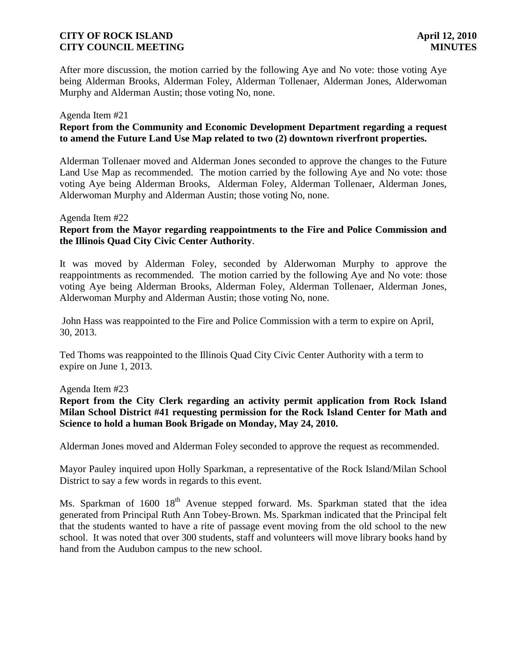After more discussion, the motion carried by the following Aye and No vote: those voting Aye being Alderman Brooks, Alderman Foley, Alderman Tollenaer, Alderman Jones, Alderwoman Murphy and Alderman Austin; those voting No, none.

#### Agenda Item #21

# **Report from the Community and Economic Development Department regarding a request to amend the Future Land Use Map related to two (2) downtown riverfront properties.**

Alderman Tollenaer moved and Alderman Jones seconded to approve the changes to the Future Land Use Map as recommended. The motion carried by the following Aye and No vote: those voting Aye being Alderman Brooks, Alderman Foley, Alderman Tollenaer, Alderman Jones, Alderwoman Murphy and Alderman Austin; those voting No, none.

#### Agenda Item #22

# **Report from the Mayor regarding reappointments to the Fire and Police Commission and the Illinois Quad City Civic Center Authority**.

It was moved by Alderman Foley, seconded by Alderwoman Murphy to approve the reappointments as recommended. The motion carried by the following Aye and No vote: those voting Aye being Alderman Brooks, Alderman Foley, Alderman Tollenaer, Alderman Jones, Alderwoman Murphy and Alderman Austin; those voting No, none.

John Hass was reappointed to the Fire and Police Commission with a term to expire on April, 30, 2013.

Ted Thoms was reappointed to the Illinois Quad City Civic Center Authority with a term to expire on June 1, 2013.

#### Agenda Item #23

**Report from the City Clerk regarding an activity permit application from Rock Island Milan School District #41 requesting permission for the Rock Island Center for Math and Science to hold a human Book Brigade on Monday, May 24, 2010.**

Alderman Jones moved and Alderman Foley seconded to approve the request as recommended.

Mayor Pauley inquired upon Holly Sparkman, a representative of the Rock Island/Milan School District to say a few words in regards to this event.

Ms. Sparkman of  $1600 \, 18^{th}$  Avenue stepped forward. Ms. Sparkman stated that the idea generated from Principal Ruth Ann Tobey-Brown. Ms. Sparkman indicated that the Principal felt that the students wanted to have a rite of passage event moving from the old school to the new school. It was noted that over 300 students, staff and volunteers will move library books hand by hand from the Audubon campus to the new school.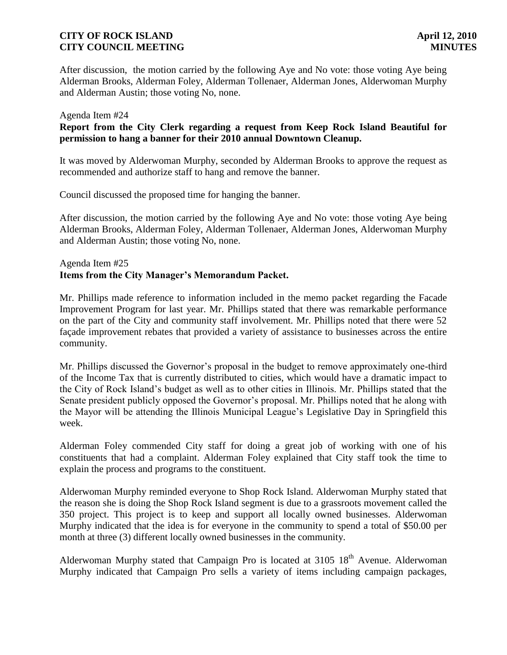After discussion, the motion carried by the following Aye and No vote: those voting Aye being Alderman Brooks, Alderman Foley, Alderman Tollenaer, Alderman Jones, Alderwoman Murphy and Alderman Austin; those voting No, none.

#### Agenda Item #24

### **Report from the City Clerk regarding a request from Keep Rock Island Beautiful for permission to hang a banner for their 2010 annual Downtown Cleanup.**

It was moved by Alderwoman Murphy, seconded by Alderman Brooks to approve the request as recommended and authorize staff to hang and remove the banner.

Council discussed the proposed time for hanging the banner.

After discussion, the motion carried by the following Aye and No vote: those voting Aye being Alderman Brooks, Alderman Foley, Alderman Tollenaer, Alderman Jones, Alderwoman Murphy and Alderman Austin; those voting No, none.

# Agenda Item #25 **Items from the City Manager's Memorandum Packet.**

Mr. Phillips made reference to information included in the memo packet regarding the Facade Improvement Program for last year. Mr. Phillips stated that there was remarkable performance on the part of the City and community staff involvement. Mr. Phillips noted that there were 52 façade improvement rebates that provided a variety of assistance to businesses across the entire community.

Mr. Phillips discussed the Governor's proposal in the budget to remove approximately one-third of the Income Tax that is currently distributed to cities, which would have a dramatic impact to the City of Rock Island's budget as well as to other cities in Illinois. Mr. Phillips stated that the Senate president publicly opposed the Governor's proposal. Mr. Phillips noted that he along with the Mayor will be attending the Illinois Municipal League's Legislative Day in Springfield this week.

Alderman Foley commended City staff for doing a great job of working with one of his constituents that had a complaint. Alderman Foley explained that City staff took the time to explain the process and programs to the constituent.

Alderwoman Murphy reminded everyone to Shop Rock Island. Alderwoman Murphy stated that the reason she is doing the Shop Rock Island segment is due to a grassroots movement called the 350 project. This project is to keep and support all locally owned businesses. Alderwoman Murphy indicated that the idea is for everyone in the community to spend a total of \$50.00 per month at three (3) different locally owned businesses in the community.

Alderwoman Murphy stated that Campaign Pro is located at  $3105 \, 18$ <sup>th</sup> Avenue. Alderwoman Murphy indicated that Campaign Pro sells a variety of items including campaign packages,